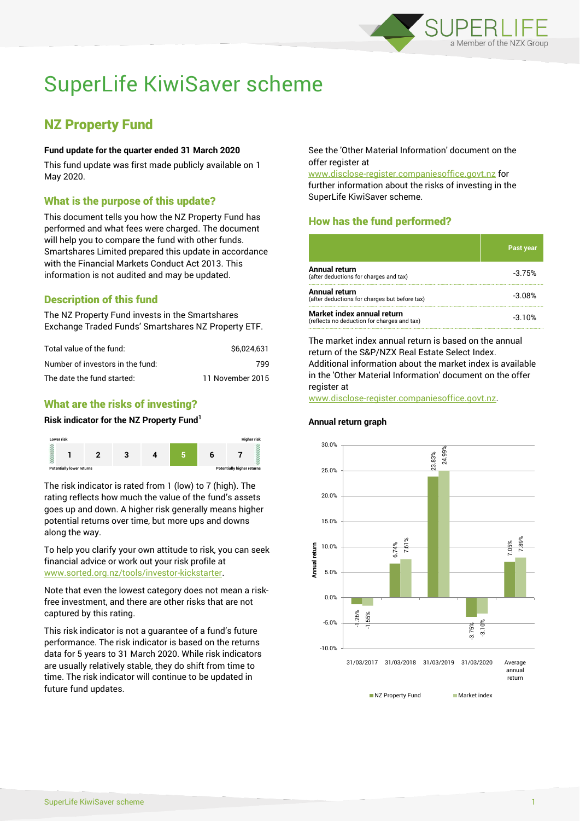

# SuperLife KiwiSaver scheme

# NZ Property Fund

#### **Fund update for the quarter ended 31 March 2020**

This fund update was first made publicly available on 1 May 2020.

### What is the purpose of this update?

This document tells you how the NZ Property Fund has performed and what fees were charged. The document will help you to compare the fund with other funds. Smartshares Limited prepared this update in accordance with the Financial Markets Conduct Act 2013. This information is not audited and may be updated.

# Description of this fund

The NZ Property Fund invests in the Smartshares Exchange Traded Funds' Smartshares NZ Property ETF.

| Total value of the fund:         | \$6.024.631      |
|----------------------------------|------------------|
| Number of investors in the fund: | 799              |
| The date the fund started:       | 11 November 2015 |

# What are the risks of investing?

#### **Risk indicator for the NZ Property Fund<sup>1</sup>**



The risk indicator is rated from 1 (low) to 7 (high). The rating reflects how much the value of the fund's assets goes up and down. A higher risk generally means higher potential returns over time, but more ups and downs along the way.

To help you clarify your own attitude to risk, you can seek financial advice or work out your risk profile at [www.sorted.org.nz/tools/investor-kickstarter.](http://www.sorted.org.nz/tools/investor-kickstarter)

Note that even the lowest category does not mean a riskfree investment, and there are other risks that are not captured by this rating.

This risk indicator is not a guarantee of a fund's future performance. The risk indicator is based on the returns data for 5 years to 31 March 2020. While risk indicators are usually relatively stable, they do shift from time to time. The risk indicator will continue to be updated in future fund updates.

See the 'Other Material Information' document on the offer register at

www.disclose-register.companiesoffice.govt.nz for further information about the risks of investing in the SuperLife KiwiSaver scheme.

# How has the fund performed?

|                                                                           | <b>Past year</b> |
|---------------------------------------------------------------------------|------------------|
| <b>Annual return</b><br>(after deductions for charges and tax)            | $-3.75%$         |
| Annual return<br>(after deductions for charges but before tax)            | $-3.08%$         |
| Market index annual return<br>(reflects no deduction for charges and tax) | $-3.10%$         |

The market index annual return is based on the annual return of the S&P/NZX Real Estate Select Index. Additional information about the market index is available in the 'Other Material Information' document on the offer register at

www.disclose-register.companiesoffice.govt.nz.

**Annual return graph**

#### -1.26% 6.74% 23.83% -3.75% 7.05% -1.55% 7.61% 24.99% -3.10% 7.89% -10.0% -5.0% 0.0% 5.0% 10.0% 15.0% 20.0% 25.0% 30.0% 31/03/2017 31/03/2018 31/03/2019 31/03/2020 Average annual return **Annual return**

NZ Property Fund Market index

SuperLife KiwiSaver scheme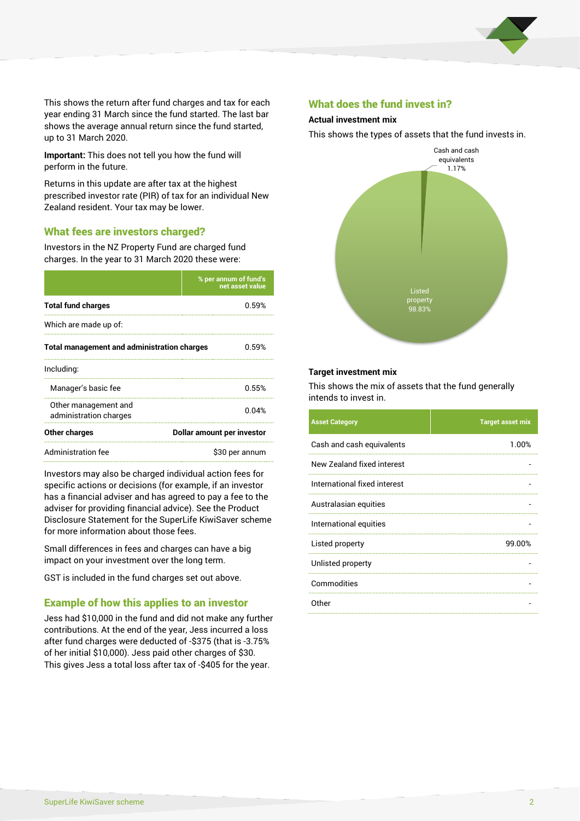

This shows the return after fund charges and tax for each year ending 31 March since the fund started. The last bar shows the average annual return since the fund started, up to 31 March 2020.

**Important:** This does not tell you how the fund will perform in the future.

Returns in this update are after tax at the highest prescribed investor rate (PIR) of tax for an individual New Zealand resident. Your tax may be lower.

#### What fees are investors charged?

Investors in the NZ Property Fund are charged fund charges. In the year to 31 March 2020 these were:

|                                                    | % per annum of fund's<br>net asset value |  |
|----------------------------------------------------|------------------------------------------|--|
| <b>Total fund charges</b>                          | በ 59%                                    |  |
| Which are made up of:                              |                                          |  |
| <b>Total management and administration charges</b> | በ 59%                                    |  |
| Including:                                         |                                          |  |
| Manager's basic fee                                | 0.55%                                    |  |
| Other management and<br>administration charges     | 0.04%                                    |  |
| Other charges                                      | Dollar amount per investor               |  |
| Administration fee                                 | \$30 per annum                           |  |

Investors may also be charged individual action fees for specific actions or decisions (for example, if an investor has a financial adviser and has agreed to pay a fee to the adviser for providing financial advice). See the Product Disclosure Statement for the SuperLife KiwiSaver scheme for more information about those fees.

Small differences in fees and charges can have a big impact on your investment over the long term.

GST is included in the fund charges set out above.

#### Example of how this applies to an investor

Jess had \$10,000 in the fund and did not make any further contributions. At the end of the year, Jess incurred a loss after fund charges were deducted of -\$375 (that is -3.75% of her initial \$10,000). Jess paid other charges of \$30. This gives Jess a total loss after tax of -\$405 for the year.

#### What does the fund invest in?

#### **Actual investment mix**

This shows the types of assets that the fund invests in.



#### **Target investment mix**

This shows the mix of assets that the fund generally intends to invest in.

| <b>Asset Category</b>        | <b>Target asset mix</b> |
|------------------------------|-------------------------|
| Cash and cash equivalents    | 1.00%                   |
| New Zealand fixed interest   |                         |
| International fixed interest |                         |
| Australasian equities        |                         |
| International equities       |                         |
| Listed property              | 99.00%                  |
| Unlisted property            |                         |
| Commodities                  |                         |
| Other                        |                         |